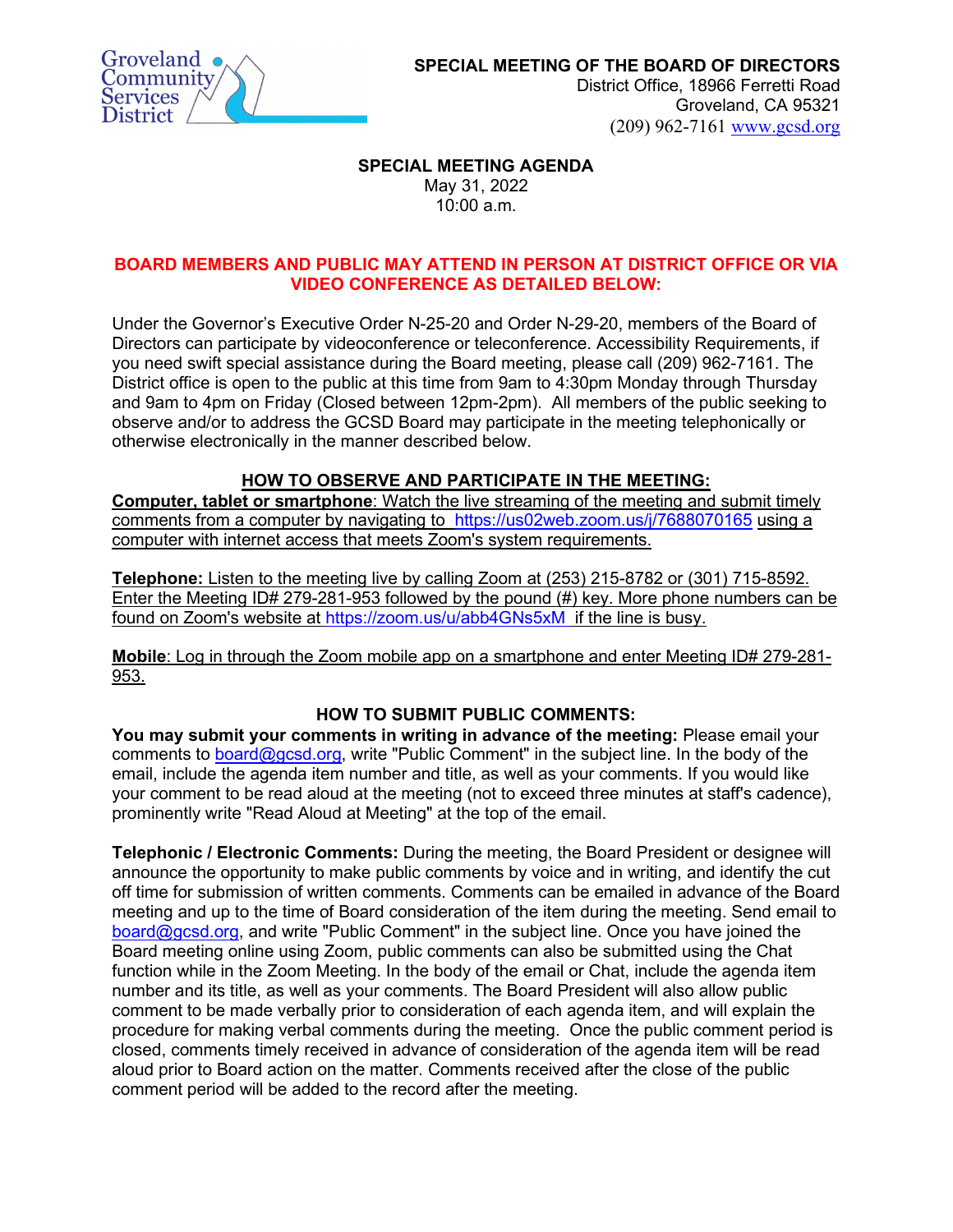

District Office, 18966 Ferretti Road Groveland, CA 95321 (209) 962-7161 [www.gcsd.org](http://www.gcsd.org/) 

### **SPECIAL MEETING AGENDA** May 31, 2022 10:00 a.m.

# **BOARD MEMBERS AND PUBLIC MAY ATTEND IN PERSON AT DISTRICT OFFICE OR VIA VIDEO CONFERENCE AS DETAILED BELOW:**

Under the Governor's Executive Order N-25-20 and Order N-29-20, members of the Board of Directors can participate by videoconference or teleconference. Accessibility Requirements, if you need swift special assistance during the Board meeting, please call (209) 962-7161. The District office is open to the public at this time from 9am to 4:30pm Monday through Thursday and 9am to 4pm on Friday (Closed between 12pm-2pm). All members of the public seeking to observe and/or to address the GCSD Board may participate in the meeting telephonically or otherwise electronically in the manner described below.

# **HOW TO OBSERVE AND PARTICIPATE IN THE MEETING:**

**Computer, tablet or smartphone**: Watch the live streaming of the meeting and submit timely comments from a computer by navigating to <https://us02web.zoom.us/j/7688070165> using a computer with internet access that meets Zoom's system requirements.

**Telephone:** Listen to the meeting live by calling Zoom at (253) 215-8782 or (301) 715-8592. Enter the Meeting ID# 279-281-953 followed by the pound (#) key. More phone numbers can be found on Zoom's website at<https://zoom.us/u/abb4GNs5xM> if the line is busy.

**Mobile**: Log in through the Zoom mobile app on a smartphone and enter Meeting ID# 279-281- 953.

# **HOW TO SUBMIT PUBLIC COMMENTS:**

**You may submit your comments in writing in advance of the meeting:** Please email your comments to [board@gcsd.org,](mailto:board@gcsd.org) write "Public Comment" in the subject line. In the body of the email, include the agenda item number and title, as well as your comments. If you would like your comment to be read aloud at the meeting (not to exceed three minutes at staff's cadence), prominently write "Read Aloud at Meeting" at the top of the email.

**Telephonic / Electronic Comments:** During the meeting, the Board President or designee will announce the opportunity to make public comments by voice and in writing, and identify the cut off time for submission of written comments. Comments can be emailed in advance of the Board meeting and up to the time of Board consideration of the item during the meeting. Send email to [board@gcsd.org,](mailto:board@gcsd.org) and write "Public Comment" in the subject line. Once you have joined the Board meeting online using Zoom, public comments can also be submitted using the Chat function while in the Zoom Meeting. In the body of the email or Chat, include the agenda item number and its title, as well as your comments. The Board President will also allow public comment to be made verbally prior to consideration of each agenda item, and will explain the procedure for making verbal comments during the meeting. Once the public comment period is closed, comments timely received in advance of consideration of the agenda item will be read aloud prior to Board action on the matter. Comments received after the close of the public comment period will be added to the record after the meeting.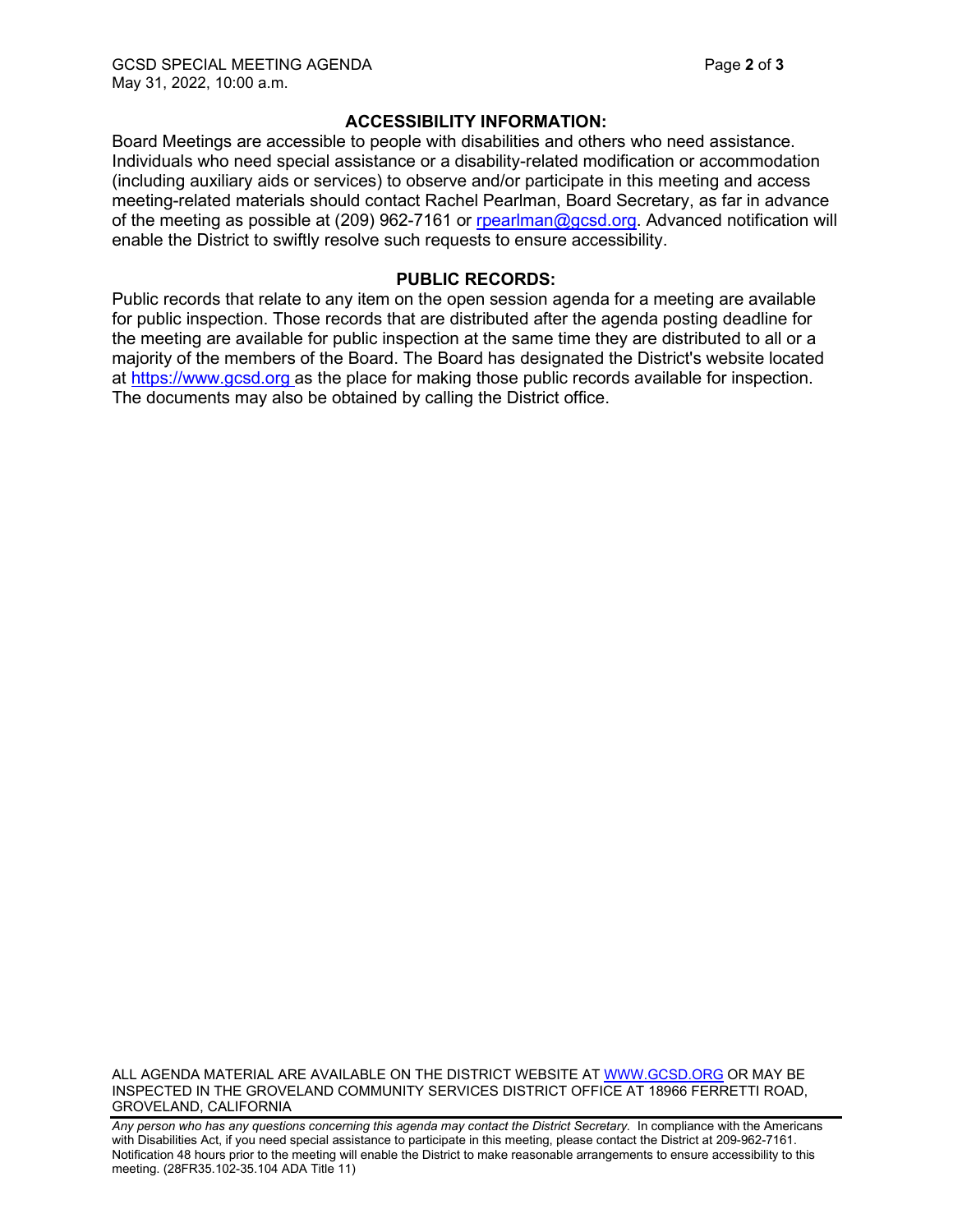# **ACCESSIBILITY INFORMATION:**

Board Meetings are accessible to people with disabilities and others who need assistance. Individuals who need special assistance or a disability-related modification or accommodation (including auxiliary aids or services) to observe and/or participate in this meeting and access meeting-related materials should contact Rachel Pearlman, Board Secretary, as far in advance of the meeting as possible at (209) 962-7161 or [rpearlman@gcsd.org.](mailto:rpearlman@gcsd.org) Advanced notification will enable the District to swiftly resolve such requests to ensure accessibility.

### **PUBLIC RECORDS:**

Public records that relate to any item on the open session agenda for a meeting are available for public inspection. Those records that are distributed after the agenda posting deadline for the meeting are available for public inspection at the same time they are distributed to all or a majority of the members of the Board. The Board has designated the District's website located at [https://www.gcsd.org](https://www.gcsd.org/) as the place for making those public records available for inspection. The documents may also be obtained by calling the District office.

ALL AGENDA MATERIAL ARE AVAILABLE ON THE DISTRICT WEBSITE AT [WWW.GCSD.ORG](http://www.gcsd.org/) OR MAY BE INSPECTED IN THE GROVELAND COMMUNITY SERVICES DISTRICT OFFICE AT 18966 FERRETTI ROAD, GROVELAND, CALIFORNIA

Any person who has any questions concerning this agenda may contact the District Secretary. In compliance with the Americans with Disabilities Act, if you need special assistance to participate in this meeting, please contact the District at 209-962-7161. Notification 48 hours prior to the meeting will enable the District to make reasonable arrangements to ensure accessibility to this meeting. (28FR35.102-35.104 ADA Title 11)